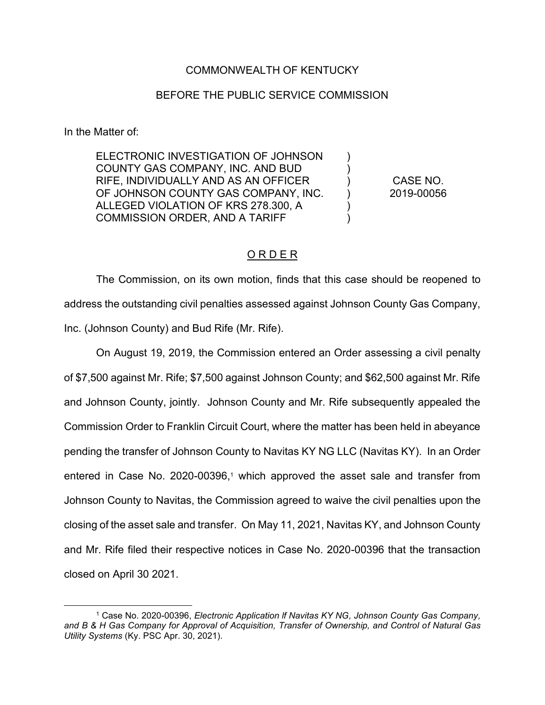## COMMONWEALTH OF KENTUCKY

## BEFORE THE PUBLIC SERVICE COMMISSION

In the Matter of:

ELECTRONIC INVESTIGATION OF JOHNSON COUNTY GAS COMPANY, INC. AND BUD RIFE, INDIVIDUALLY AND AS AN OFFICER OF JOHNSON COUNTY GAS COMPANY, INC. ALLEGED VIOLATION OF KRS 278.300, A COMMISSION ORDER, AND A TARIFF

CASE NO. 2019-00056

 $\lambda$  $\lambda$ ) ) ) )

## O R D E R

The Commission, on its own motion, finds that this case should be reopened to address the outstanding civil penalties assessed against Johnson County Gas Company, Inc. (Johnson County) and Bud Rife (Mr. Rife).

On August 19, 2019, the Commission entered an Order assessing a civil penalty of \$7,500 against Mr. Rife; \$7,500 against Johnson County; and \$62,500 against Mr. Rife and Johnson County, jointly. Johnson County and Mr. Rife subsequently appealed the Commission Order to Franklin Circuit Court, where the matter has been held in abeyance pending the transfer of Johnson County to Navitas KY NG LLC (Navitas KY). In an Order entered in Case No. 2020-00396,<sup>1</sup> which approved the asset sale and transfer from Johnson County to Navitas, the Commission agreed to waive the civil penalties upon the closing of the asset sale and transfer. On May 11, 2021, Navitas KY, and Johnson County and Mr. Rife filed their respective notices in Case No. 2020-00396 that the transaction closed on April 30 2021.

<sup>1</sup> Case No. 2020-00396, *Electronic Application lf Navitas KY NG, Johnson County Gas Company, and B & H Gas Company for Approval of Acquisition, Transfer of Ownership, and Control of Natural Gas Utility Systems* (Ky. PSC Apr. 30, 2021).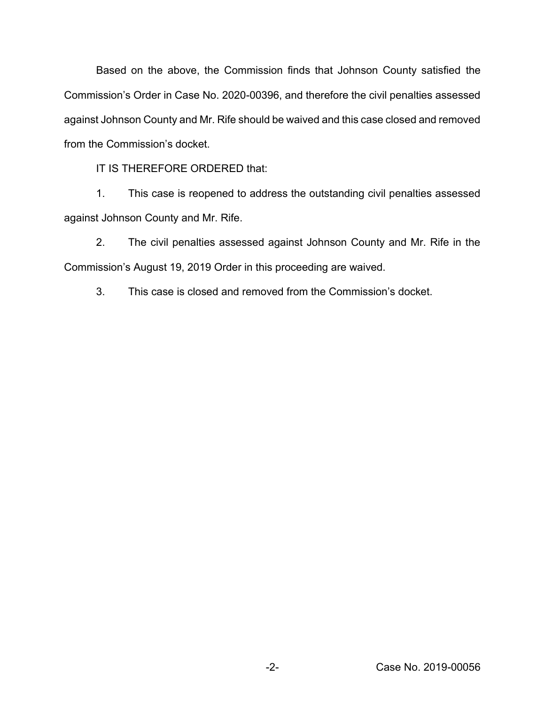Based on the above, the Commission finds that Johnson County satisfied the Commission's Order in Case No. 2020-00396, and therefore the civil penalties assessed against Johnson County and Mr. Rife should be waived and this case closed and removed from the Commission's docket.

IT IS THEREFORE ORDERED that:

1. This case is reopened to address the outstanding civil penalties assessed against Johnson County and Mr. Rife.

2. The civil penalties assessed against Johnson County and Mr. Rife in the Commission's August 19, 2019 Order in this proceeding are waived.

3. This case is closed and removed from the Commission's docket.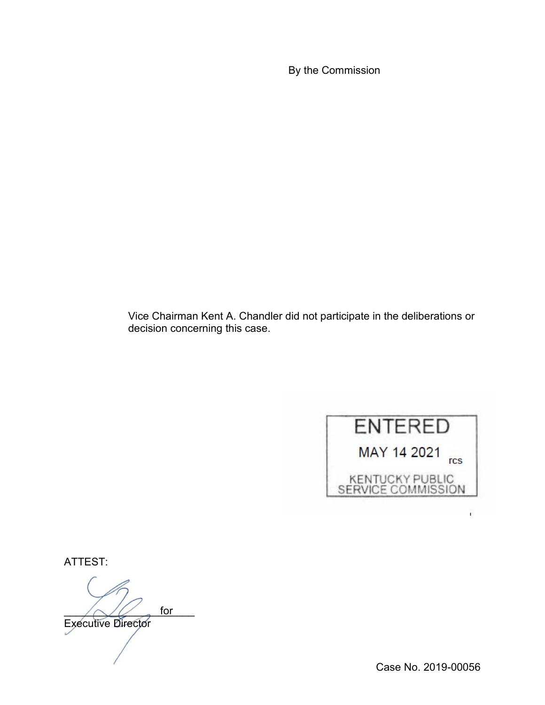By the Commission

Vice Chairman Kent A. Chandler did not participate in the deliberations or decision concerning this case.



ATTEST:

 $\bigwedge U$  for Executive Director for

î